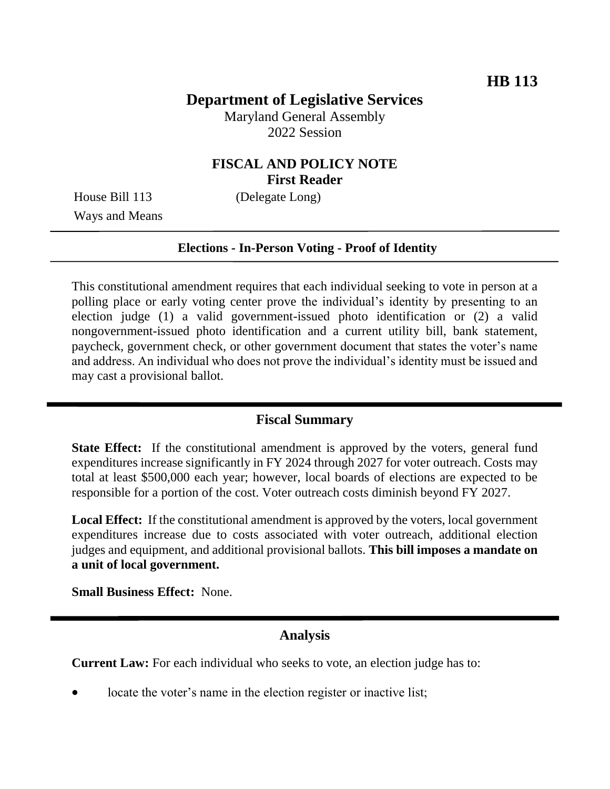# **Department of Legislative Services**

Maryland General Assembly 2022 Session

### **FISCAL AND POLICY NOTE First Reader**

House Bill 113 (Delegate Long) Ways and Means

#### **Elections - In-Person Voting - Proof of Identity**

This constitutional amendment requires that each individual seeking to vote in person at a polling place or early voting center prove the individual's identity by presenting to an election judge (1) a valid government-issued photo identification or (2) a valid nongovernment-issued photo identification and a current utility bill, bank statement, paycheck, government check, or other government document that states the voter's name and address. An individual who does not prove the individual's identity must be issued and may cast a provisional ballot.

#### **Fiscal Summary**

**State Effect:** If the constitutional amendment is approved by the voters, general fund expenditures increase significantly in FY 2024 through 2027 for voter outreach. Costs may total at least \$500,000 each year; however, local boards of elections are expected to be responsible for a portion of the cost. Voter outreach costs diminish beyond FY 2027.

**Local Effect:** If the constitutional amendment is approved by the voters, local government expenditures increase due to costs associated with voter outreach, additional election judges and equipment, and additional provisional ballots. **This bill imposes a mandate on a unit of local government.**

**Small Business Effect:** None.

### **Analysis**

**Current Law:** For each individual who seeks to vote, an election judge has to:

locate the voter's name in the election register or inactive list;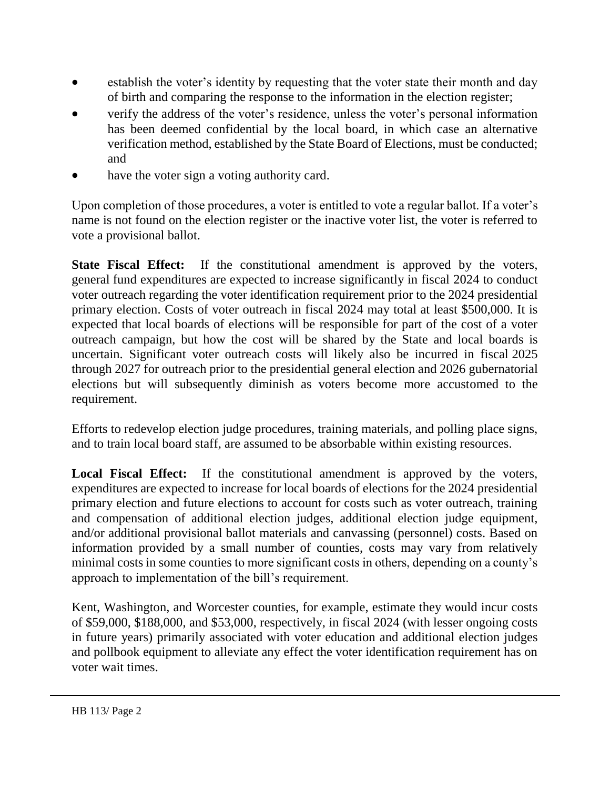- establish the voter's identity by requesting that the voter state their month and day of birth and comparing the response to the information in the election register;
- verify the address of the voter's residence, unless the voter's personal information has been deemed confidential by the local board, in which case an alternative verification method, established by the State Board of Elections, must be conducted; and
- have the voter sign a voting authority card.

Upon completion of those procedures, a voter is entitled to vote a regular ballot. If a voter's name is not found on the election register or the inactive voter list, the voter is referred to vote a provisional ballot.

**State Fiscal Effect:** If the constitutional amendment is approved by the voters, general fund expenditures are expected to increase significantly in fiscal 2024 to conduct voter outreach regarding the voter identification requirement prior to the 2024 presidential primary election. Costs of voter outreach in fiscal 2024 may total at least \$500,000. It is expected that local boards of elections will be responsible for part of the cost of a voter outreach campaign, but how the cost will be shared by the State and local boards is uncertain. Significant voter outreach costs will likely also be incurred in fiscal 2025 through 2027 for outreach prior to the presidential general election and 2026 gubernatorial elections but will subsequently diminish as voters become more accustomed to the requirement.

Efforts to redevelop election judge procedures, training materials, and polling place signs, and to train local board staff, are assumed to be absorbable within existing resources.

**Local Fiscal Effect:** If the constitutional amendment is approved by the voters, expenditures are expected to increase for local boards of elections for the 2024 presidential primary election and future elections to account for costs such as voter outreach, training and compensation of additional election judges, additional election judge equipment, and/or additional provisional ballot materials and canvassing (personnel) costs. Based on information provided by a small number of counties, costs may vary from relatively minimal costs in some counties to more significant costs in others, depending on a county's approach to implementation of the bill's requirement.

Kent, Washington, and Worcester counties, for example, estimate they would incur costs of \$59,000, \$188,000, and \$53,000, respectively, in fiscal 2024 (with lesser ongoing costs in future years) primarily associated with voter education and additional election judges and pollbook equipment to alleviate any effect the voter identification requirement has on voter wait times.